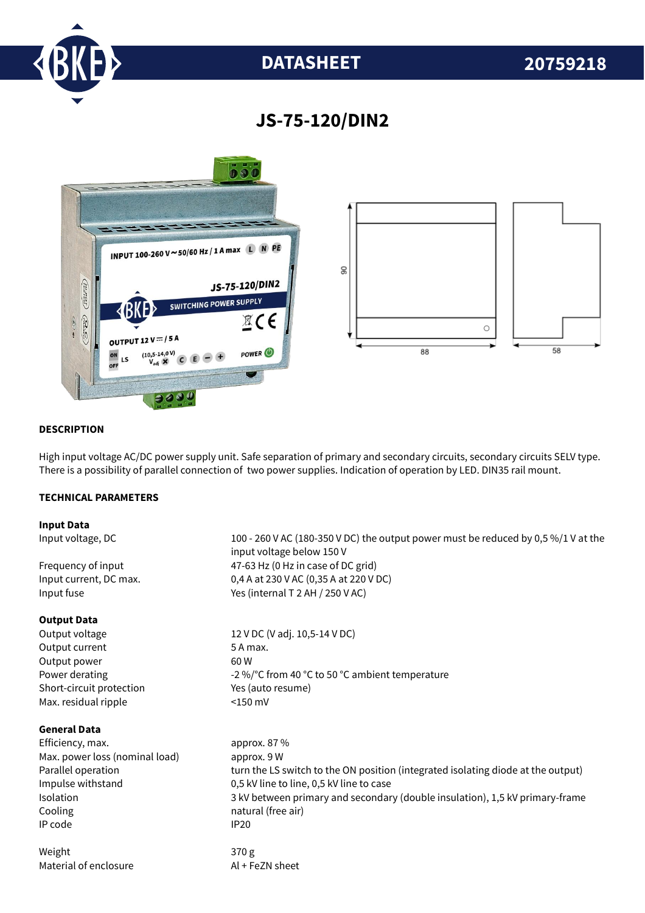

# **DATASHEET 20759218**

## **JS-75-120/DIN2**



#### **DESCRIPTION**

High input voltage AC/DC power supply unit. Safe separation of primary and secondary circuits, secondary circuits SELV type. There is a possibility of parallel connection of two power supplies. Indication of operation by LED. DIN35 rail mount.

#### **TECHNICAL PARAMETERS**

#### **Input Data**

#### **Output Data**

Output current 5 A max. Output power 60 W Short-circuit protection Yes (auto resume) Max. residual ripple <150 mV

#### **General Data**

Efficiency. max. approx. 87 % Max. power loss (nominal load) approx. 9 W Cooling **natural** (free air) IP code IP20

Weight 370 g Material of enclosure Al + FeZN sheet

Input voltage, DC 100 - 260 V AC (180-350 V DC) the output power must be reduced by 0,5 %/1 V at the input voltage below 150 V Frequency of input  $47-63$  Hz (0 Hz in case of DC grid) Input current, DC max. 0,4 A at 230 V AC (0,35 A at 220 V DC) Input fuse Yes (internal T 2 AH / 250 V AC)

Output voltage 12 V DC (V adj. 10,5-14 V DC) Power derating  $-2\%$  °C from 40 °C to 50 °C ambient temperature

Parallel operation turn the LS switch to the ON position (integrated isolating diode at the output) Impulse withstand 0,5 kV line to line, 0,5 kV line to case Isolation 3 kV between primary and secondary (double insulation), 1,5 kV primary-frame